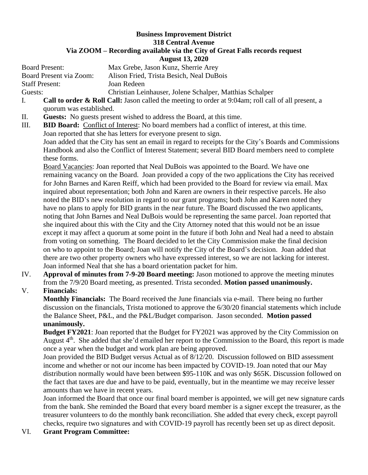## **Business Improvement District 318 Central Avenue Via ZOOM – Recording available via the City of Great Falls records request August 13, 2020**

Board Present: Max Grebe, Jason Kunz, Sherrie Arey Board Present via Zoom: Alison Fried, Trista Besich, Neal DuBois Staff Present: Joan Redeen Guests: Christian Leinhauser, Jolene Schalper, Matthias Schalper

- I. **Call to order & Roll Call:** Jason called the meeting to order at 9:04am; roll call of all present, a quorum was established.
- II. **Guests:** No guests present wished to address the Board, at this time.
- III. **BID Board:** Conflict of Interest: No board members had a conflict of interest, at this time. Joan reported that she has letters for everyone present to sign.

Joan added that the City has sent an email in regard to receipts for the City's Boards and Commissions Handbook and also the Conflict of Interest Statement; several BID Board members need to complete these forms.

Board Vacancies: Joan reported that Neal DuBois was appointed to the Board. We have one remaining vacancy on the Board. Joan provided a copy of the two applications the City has received for John Barnes and Karen Reiff, which had been provided to the Board for review via email. Max inquired about representation; both John and Karen are owners in their respective parcels. He also noted the BID's new resolution in regard to our grant programs; both John and Karen noted they have no plans to apply for BID grants in the near future. The Board discussed the two applicants, noting that John Barnes and Neal DuBois would be representing the same parcel. Joan reported that she inquired about this with the City and the City Attorney noted that this would not be an issue except it may affect a quorum at some point in the future if both John and Neal had a need to abstain from voting on something. The Board decided to let the City Commission make the final decision on who to appoint to the Board; Joan will notify the City of the Board's decision. Joan added that there are two other property owners who have expressed interest, so we are not lacking for interest. Joan informed Neal that she has a board orientation packet for him.

IV. **Approval of minutes from 7-9-20 Board meeting:** Jason motioned to approve the meeting minutes from the 7/9/20 Board meeting, as presented. Trista seconded. **Motion passed unanimously.**

## V. **Financials:**

**Monthly Financials:** The Board received the June financials via e-mail. There being no further discussion on the financials, Trista motioned to approve the 6/30/20 financial statements which include the Balance Sheet, P&L, and the P&L/Budget comparison. Jason seconded. **Motion passed unanimously.**

**Budget FY2021**: Joan reported that the Budget for FY2021 was approved by the City Commission on August 4<sup>th</sup>. She added that she'd emailed her report to the Commission to the Board, this report is made once a year when the budget and work plan are being approved.

Joan provided the BID Budget versus Actual as of 8/12/20. Discussion followed on BID assessment income and whether or not our income has been impacted by COVID-19. Joan noted that our May distribution normally would have been between \$95-110K and was only \$65K. Discussion followed on the fact that taxes are due and have to be paid, eventually, but in the meantime we may receive lesser amounts than we have in recent years.

Joan informed the Board that once our final board member is appointed, we will get new signature cards from the bank. She reminded the Board that every board member is a signer except the treasurer, as the treasurer volunteers to do the monthly bank reconciliation. She added that every check, except payroll checks, require two signatures and with COVID-19 payroll has recently been set up as direct deposit.

VI. **Grant Program Committee:**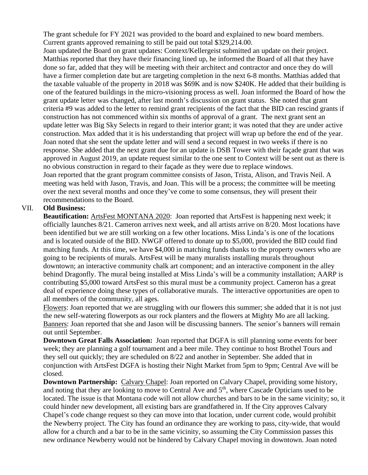The grant schedule for FY 2021 was provided to the board and explained to new board members. Current grants approved remaining to still be paid out total \$329,214.00.

Joan updated the Board on grant updates: Context/Kellergeist submitted an update on their project. Matthias reported that they have their financing lined up, he informed the Board of all that they have done so far, added that they will be meeting with their architect and contractor and once they do will have a firmer completion date but are targeting completion in the next 6-8 months. Matthias added that the taxable valuable of the property in 2018 was \$69K and is now \$240K. He added that their building is one of the featured buildings in the micro-visioning process as well. Joan informed the Board of how the grant update letter was changed, after last month's discussion on grant status. She noted that grant criteria #9 was added to the letter to remind grant recipients of the fact that the BID can rescind grants if construction has not commenced within six months of approval of a grant. The next grant sent an update letter was Big Sky Selects in regard to their interior grant; it was noted that they are under active construction. Max added that it is his understanding that project will wrap up before the end of the year. Joan noted that she sent the update letter and will send a second request in two weeks if there is no response. She added that the next grant due for an update is DSB Tower with their façade grant that was approved in August 2019, an update request similar to the one sent to Context will be sent out as there is no obvious construction in regard to their façade as they were due to replace windows. Joan reported that the grant program committee consists of Jason, Trista, Alison, and Travis Neil. A meeting was held with Jason, Travis, and Joan. This will be a process; the committee will be meeting over the next several months and once they've come to some consensus, they will present their recommendations to the Board.

## VII. **Old Business:**

**Beautification:** ArtsFest MONTANA 2020: Joan reported that ArtsFest is happening next week; it officially launches 8/21. Cameron arrives next week, and all artists arrive on 8/20. Most locations have been identified but we are still working on a few other locations. Miss Linda's is one of the locations and is located outside of the BID. NWGF offered to donate up to \$5,000, provided the BID could find matching funds. At this time, we have \$4,000 in matching funds thanks to the property owners who are going to be recipients of murals. ArtsFest will be many muralists installing murals throughout downtown; an interactive community chalk art component; and an interactive component in the alley behind Dragonfly. The mural being installed at Miss Linda's will be a community installation; AARP is contributing \$5,000 toward ArtsFest so this mural must be a community project. Cameron has a great deal of experience doing these types of collaborative murals. The interactive opportunities are open to all members of the community, all ages.

Flowers: Joan reported that we are struggling with our flowers this summer; she added that it is not just the new self-watering flowerpots as our rock planters and the flowers at Mighty Mo are all lacking. Banners: Joan reported that she and Jason will be discussing banners. The senior's banners will remain out until September.

**Downtown Great Falls Association:** Joan reported that DGFA is still planning some events for beer week; they are planning a golf tournament and a beer mile. They continue to host Brothel Tours and they sell out quickly; they are scheduled on 8/22 and another in September. She added that in conjunction with ArtsFest DGFA is hosting their Night Market from 5pm to 9pm; Central Ave will be closed.

**Downtown Partnership:** Calvary Chapel: Joan reported on Calvary Chapel, providing some history, and noting that they are looking to move to Central Ave and  $5<sup>th</sup>$ , where Cascade Opticians used to be located. The issue is that Montana code will not allow churches and bars to be in the same vicinity; so, it could hinder new development, all existing bars are grandfathered in. If the City approves Calvary Chapel's code change request so they can move into that location, under current code, would prohibit the Newberry project. The City has found an ordinance they are working to pass, city-wide, that would allow for a church and a bar to be in the same vicinity, so assuming the City Commission passes this new ordinance Newberry would not be hindered by Calvary Chapel moving in downtown. Joan noted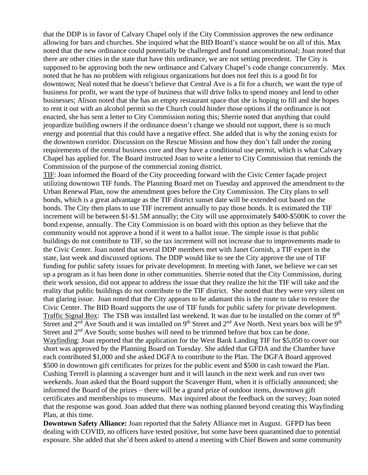that the DDP is in favor of Calvary Chapel only if the City Commission approves the new ordinance allowing for bars and churches. She inquired what the BID Board's stance would be on all of this. Max noted that the new ordinance could potentially be challenged and found unconstitutional; Joan noted that there are other cities in the state that have this ordinance, we are not setting precedent. The City is supposed to be approving both the new ordinance and Calvary Chapel's code change concurrently. Max noted that he has no problem with religious organizations but does not feel this is a good fit for downtown; Neal noted that he doesn't believe that Central Ave is a fit for a church, we want the type of business for profit, we want the type of business that will drive folks to spend money and lend to other businesses; Alison noted that she has an empty restaurant space that she is hoping to fill and she hopes to rent it out with an alcohol permit so the Church could hinder those options if the ordinance is not enacted, she has sent a letter to City Commission noting this; Sherrie noted that anything that could jeopardize building owners if the ordinance doesn't change we should not support, there is so much energy and potential that this could have a negative effect. She added that is why the zoning exists for the downtown corridor. Discussion on the Rescue Mission and how they don't fall under the zoning requirements of the central business core and they have a conditional use permit, which is what Calvary Chapel has applied for. The Board instructed Joan to write a letter to City Commission that reminds the Commission of the purpose of the commercial zoning district.

TIF: Joan informed the Board of the City proceeding forward with the Civic Center façade project utilizing downtown TIF funds. The Planning Board met on Tuesday and approved the amendment to the Urban Renewal Plan, now the amendment goes before the City Commission. The City plans to sell bonds, which is a great advantage as the TIF district sunset date will be extended out based on the bonds. The City then plans to use TIF increment annually to pay those bonds. It is estimated the TIF increment will be between \$1-\$1.5M annually; the City will use approximately \$400-\$500K to cover the bond expense, annually. The City Commission is on board with this option as they believe that the community would not approve a bond if it went to a ballot issue. The simple issue is that public buildings do not contribute to TIF, so the tax increment will not increase due to improvements made to the Civic Center. Joan noted that several DDP members met with Janet Cornish, a TIF expert in the state, last week and discussed options. The DDP would like to see the City approve the use of TIF funding for public safety issues for private development. In meeting with Janet, we believe we can set up a program as it has been done in other communities. Sherrie noted that the City Commission, during their work session, did not appear to address the issue that they realize the hit the TIF will take and the reality that public buildings do not contribute to the TIF district. She noted that they were very silent on that glaring issue. Joan noted that the City appears to be adamant this is the route to take to restore the Civic Center. The BID Board supports the use of TIF funds for public safety for private development. Traffic Signal Box: The TSB was installed last weekend. It was due to be installed on the corner of 9<sup>th</sup> Street and  $2<sup>nd</sup>$  Ave South and it was installed on 9<sup>th</sup> Street and  $2<sup>nd</sup>$  Ave North. Next years box will be 9<sup>th</sup> Street and  $2<sup>nd</sup>$  Ave South; some bushes will need to be trimmed before that box can be done. Wayfinding: Joan reported that the application for the West Bank Landing TIF for \$5,050 to cover our short was approved by the Planning Board on Tuesday. She added that GFDA and the Chamber have each contributed \$1,000 and she asked DGFA to contribute to the Plan. The DGFA Board approved \$500 in downtown gift certificates for prizes for the public event and \$500 in cash toward the Plan. Cushing Terrell is planning a scavenger hunt and it will launch in the next week and run over two weekends. Joan asked that the Board support the Scavenger Hunt, when it is officially announced; she informed the Board of the prizes – there will be a grand prize of outdoor items, downtown gift certificates and memberships to museums. Max inquired about the feedback on the survey; Joan noted that the response was good. Joan added that there was nothing planned beyond creating this Wayfinding Plan, at this time.

**Downtown Safety Alliance:** Joan reported that the Safety Alliance met in August. GFPD has been dealing with COVID, no officers have tested positive, but some have been quarantined due to potential exposure. She added that she'd been asked to attend a meeting with Chief Bowen and some community